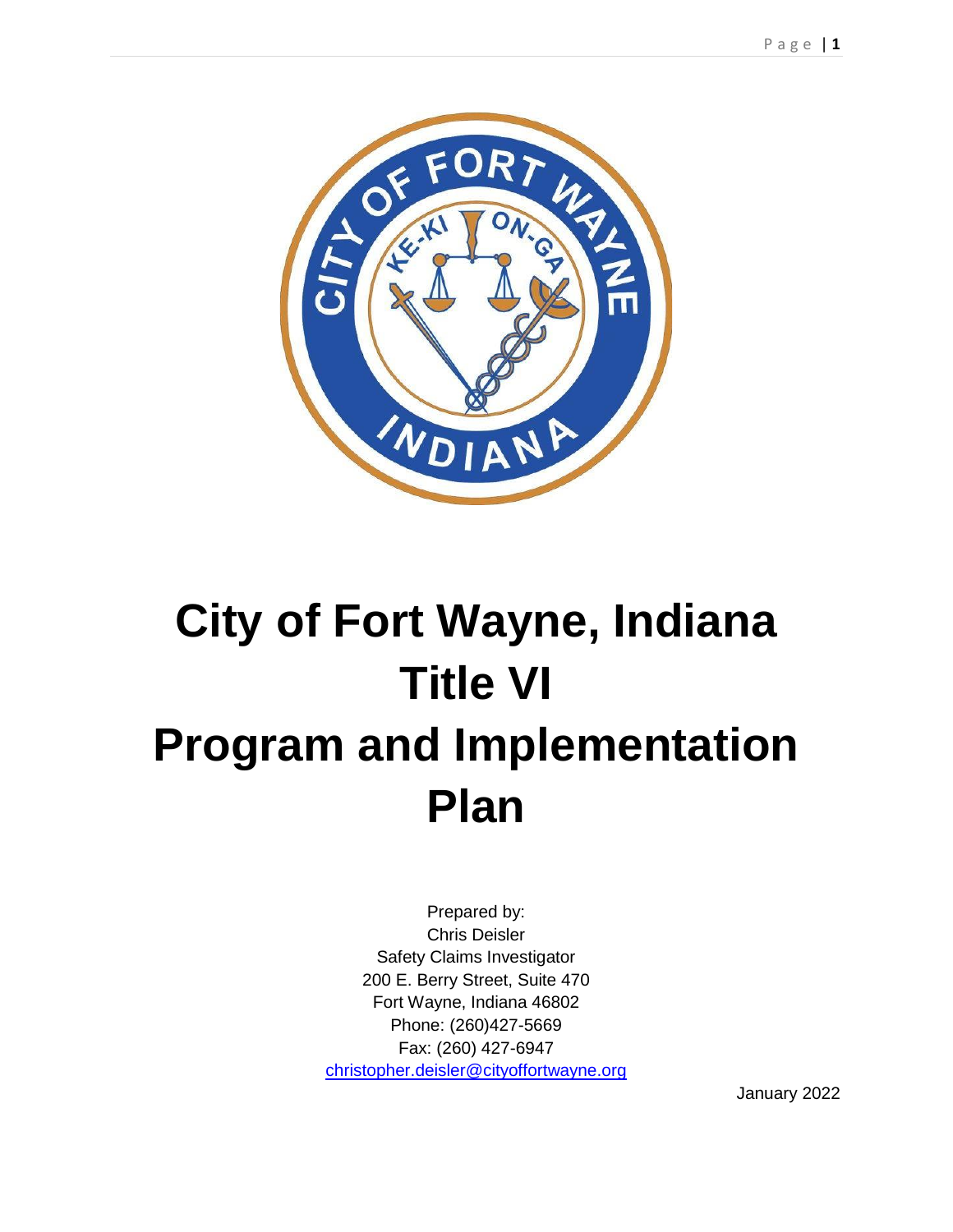

# **City of Fort Wayne, Indiana Title VI Program and Implementation Plan**

Prepared by: Chris Deisler Safety Claims Investigator 200 E. Berry Street, Suite 470 Fort Wayne, Indiana 46802 Phone: (260)427-5669 Fax: (260) 427-6947 [christopher.deisler@cityoffortwayne.org](mailto:christopher.deisler@cityoffortwayne.org)

January 2022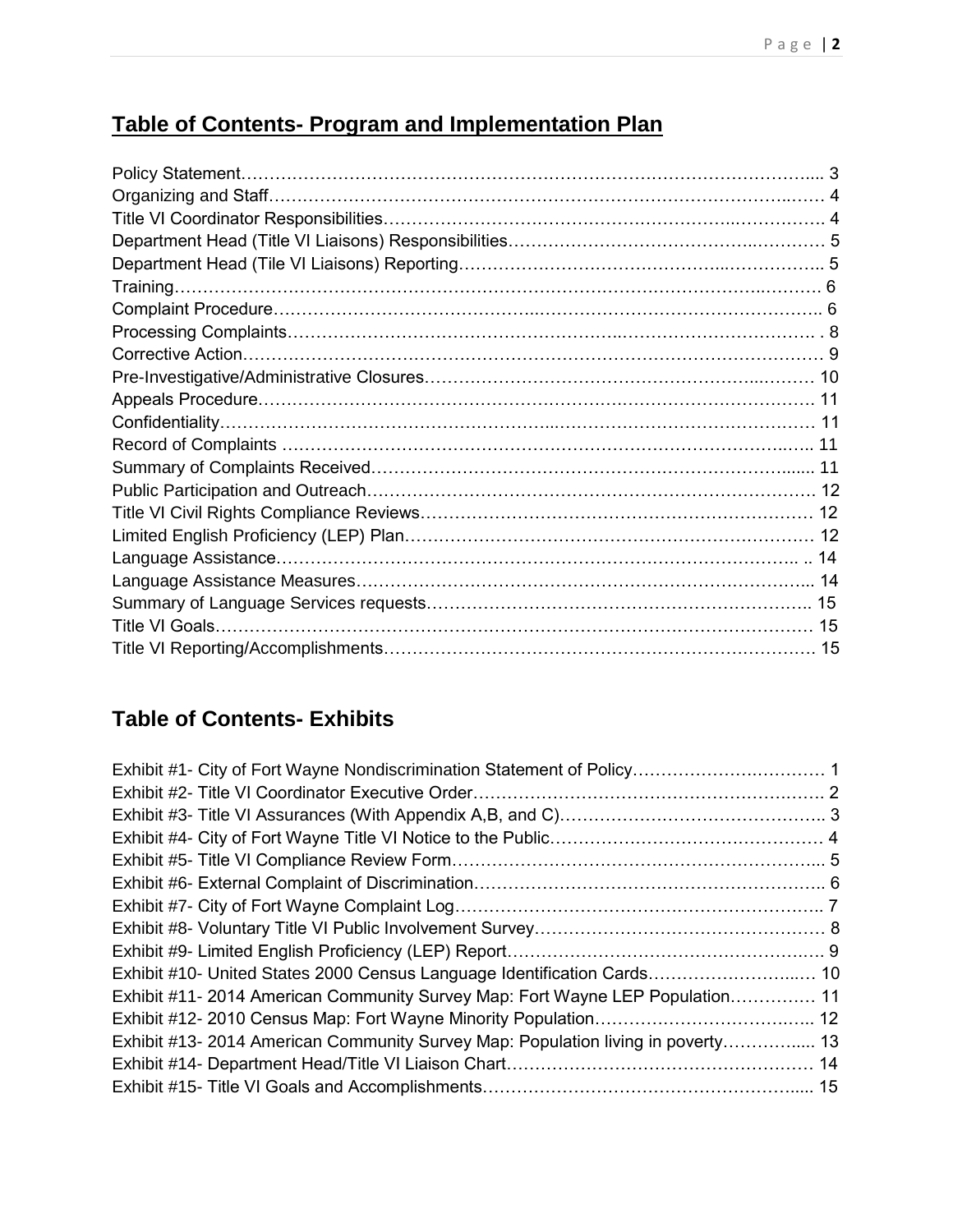# **Table of Contents- Program and Implementation Plan**

# **Table of Contents- Exhibits**

| Exhibit #10- United States 2000 Census Language Identification Cards 10          |  |
|----------------------------------------------------------------------------------|--|
| Exhibit #11- 2014 American Community Survey Map: Fort Wayne LEP Population 11    |  |
|                                                                                  |  |
| Exhibit #13- 2014 American Community Survey Map: Population living in poverty 13 |  |
|                                                                                  |  |
|                                                                                  |  |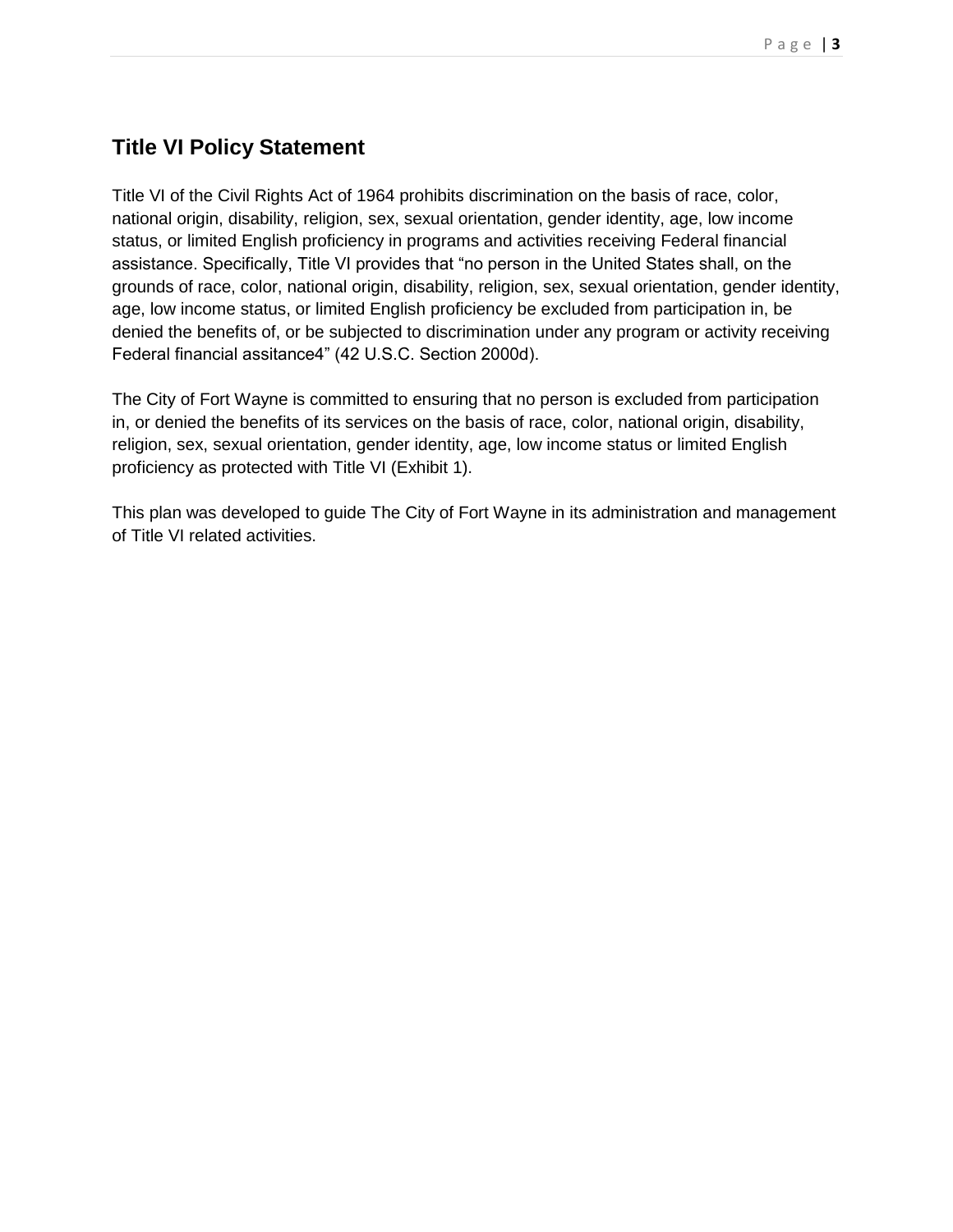# **Title VI Policy Statement**

Title VI of the Civil Rights Act of 1964 prohibits discrimination on the basis of race, color, national origin, disability, religion, sex, sexual orientation, gender identity, age, low income status, or limited English proficiency in programs and activities receiving Federal financial assistance. Specifically, Title VI provides that "no person in the United States shall, on the grounds of race, color, national origin, disability, religion, sex, sexual orientation, gender identity, age, low income status, or limited English proficiency be excluded from participation in, be denied the benefits of, or be subjected to discrimination under any program or activity receiving Federal financial assitance4" (42 U.S.C. Section 2000d).

The City of Fort Wayne is committed to ensuring that no person is excluded from participation in, or denied the benefits of its services on the basis of race, color, national origin, disability, religion, sex, sexual orientation, gender identity, age, low income status or limited English proficiency as protected with Title VI (Exhibit 1).

This plan was developed to guide The City of Fort Wayne in its administration and management of Title VI related activities.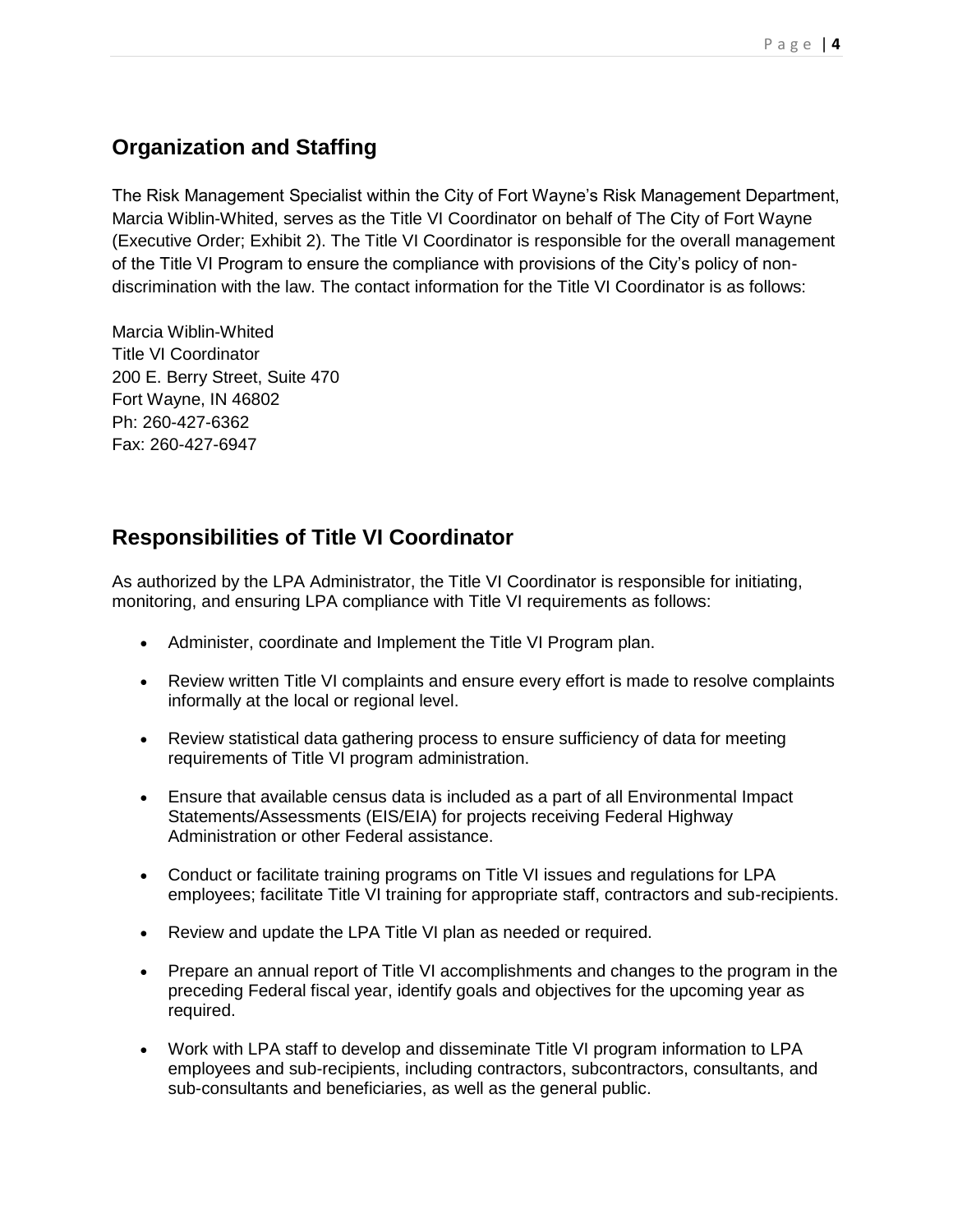# **Organization and Staffing**

The Risk Management Specialist within the City of Fort Wayne's Risk Management Department, Marcia Wiblin-Whited, serves as the Title VI Coordinator on behalf of The City of Fort Wayne (Executive Order; Exhibit 2). The Title VI Coordinator is responsible for the overall management of the Title VI Program to ensure the compliance with provisions of the City's policy of nondiscrimination with the law. The contact information for the Title VI Coordinator is as follows:

Marcia Wiblin-Whited Title VI Coordinator 200 E. Berry Street, Suite 470 Fort Wayne, IN 46802 Ph: 260-427-6362 Fax: 260-427-6947

# **Responsibilities of Title VI Coordinator**

As authorized by the LPA Administrator, the Title VI Coordinator is responsible for initiating, monitoring, and ensuring LPA compliance with Title VI requirements as follows:

- Administer, coordinate and Implement the Title VI Program plan.
- Review written Title VI complaints and ensure every effort is made to resolve complaints informally at the local or regional level.
- Review statistical data gathering process to ensure sufficiency of data for meeting requirements of Title VI program administration.
- Ensure that available census data is included as a part of all Environmental Impact Statements/Assessments (EIS/EIA) for projects receiving Federal Highway Administration or other Federal assistance.
- Conduct or facilitate training programs on Title VI issues and regulations for LPA employees; facilitate Title VI training for appropriate staff, contractors and sub-recipients.
- Review and update the LPA Title VI plan as needed or required.
- Prepare an annual report of Title VI accomplishments and changes to the program in the preceding Federal fiscal year, identify goals and objectives for the upcoming year as required.
- Work with LPA staff to develop and disseminate Title VI program information to LPA employees and sub-recipients, including contractors, subcontractors, consultants, and sub-consultants and beneficiaries, as well as the general public.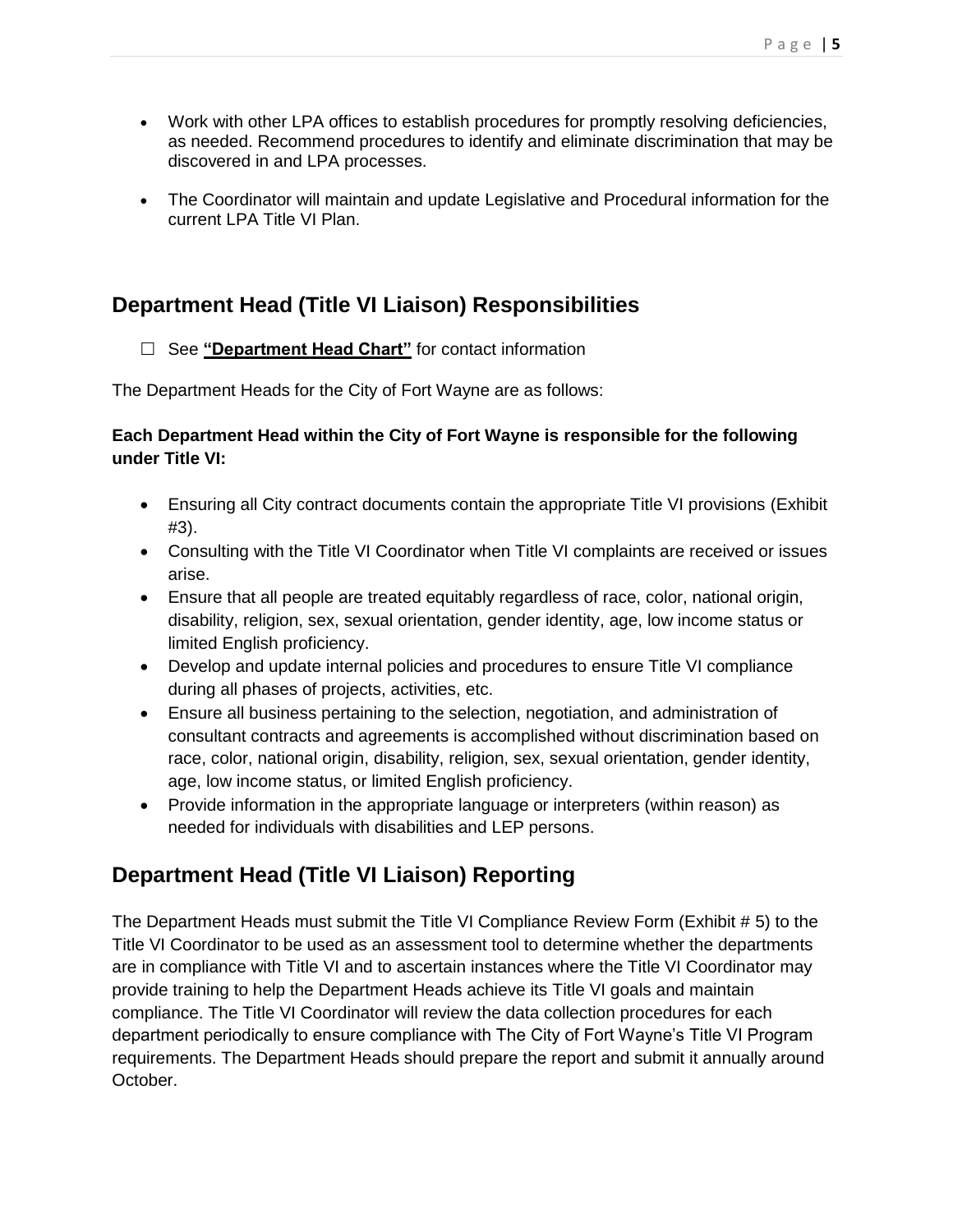- Work with other LPA offices to establish procedures for promptly resolving deficiencies, as needed. Recommend procedures to identify and eliminate discrimination that may be discovered in and LPA processes.
- The Coordinator will maintain and update Legislative and Procedural information for the current LPA Title VI Plan.

## **Department Head (Title VI Liaison) Responsibilities**

#### □ See "**Department Head Chart**" for contact information

The Department Heads for the City of Fort Wayne are as follows:

#### **Each Department Head within the City of Fort Wayne is responsible for the following under Title VI:**

- Ensuring all City contract documents contain the appropriate Title VI provisions (Exhibit #3).
- Consulting with the Title VI Coordinator when Title VI complaints are received or issues arise.
- Ensure that all people are treated equitably regardless of race, color, national origin, disability, religion, sex, sexual orientation, gender identity, age, low income status or limited English proficiency.
- Develop and update internal policies and procedures to ensure Title VI compliance during all phases of projects, activities, etc.
- Ensure all business pertaining to the selection, negotiation, and administration of consultant contracts and agreements is accomplished without discrimination based on race, color, national origin, disability, religion, sex, sexual orientation, gender identity, age, low income status, or limited English proficiency.
- Provide information in the appropriate language or interpreters (within reason) as needed for individuals with disabilities and LEP persons.

## **Department Head (Title VI Liaison) Reporting**

The Department Heads must submit the Title VI Compliance Review Form (Exhibit # 5) to the Title VI Coordinator to be used as an assessment tool to determine whether the departments are in compliance with Title VI and to ascertain instances where the Title VI Coordinator may provide training to help the Department Heads achieve its Title VI goals and maintain compliance. The Title VI Coordinator will review the data collection procedures for each department periodically to ensure compliance with The City of Fort Wayne's Title VI Program requirements. The Department Heads should prepare the report and submit it annually around October.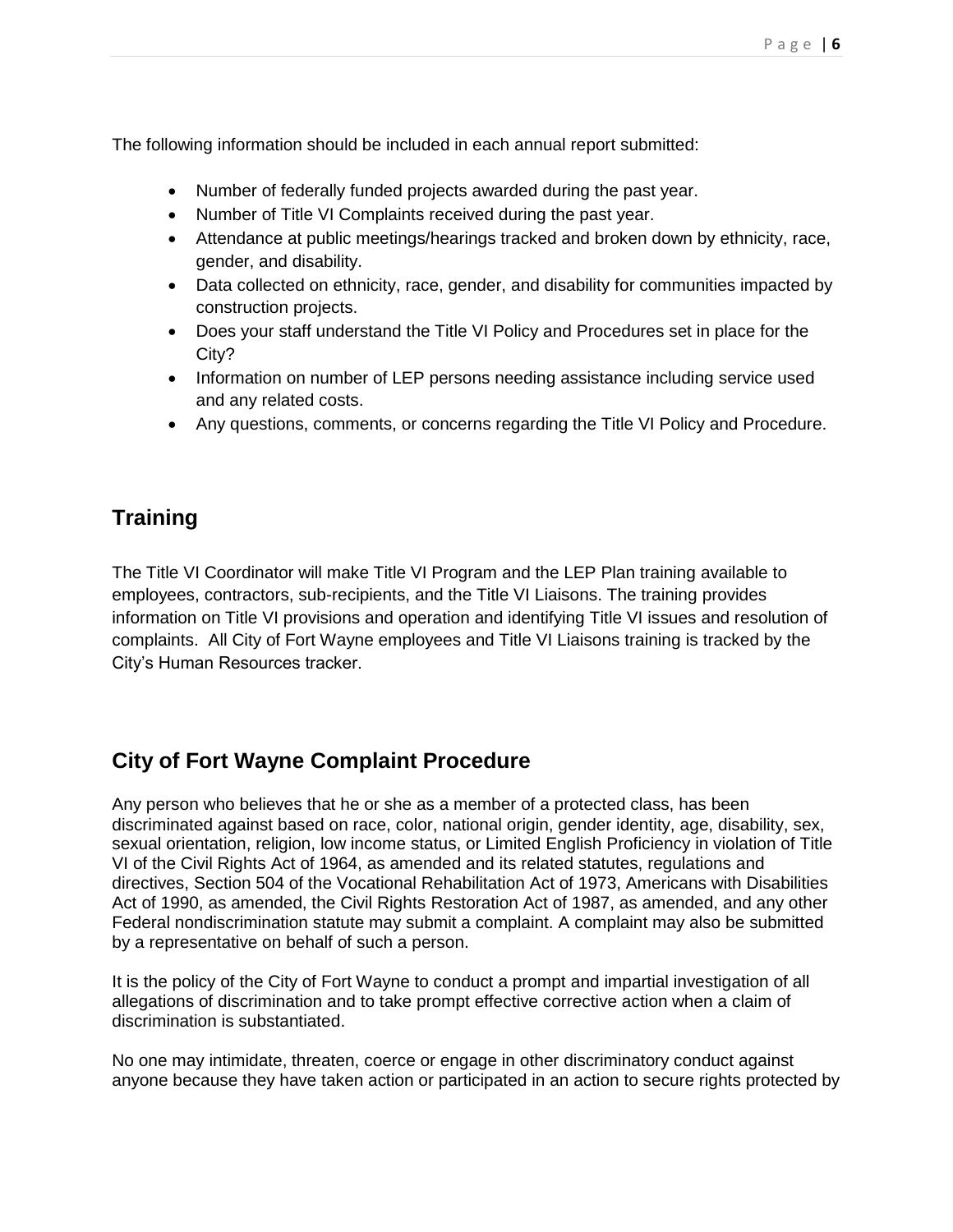The following information should be included in each annual report submitted:

- Number of federally funded projects awarded during the past year.
- Number of Title VI Complaints received during the past year.
- Attendance at public meetings/hearings tracked and broken down by ethnicity, race, gender, and disability.
- Data collected on ethnicity, race, gender, and disability for communities impacted by construction projects.
- Does your staff understand the Title VI Policy and Procedures set in place for the City?
- Information on number of LEP persons needing assistance including service used and any related costs.
- Any questions, comments, or concerns regarding the Title VI Policy and Procedure.

## **Training**

The Title VI Coordinator will make Title VI Program and the LEP Plan training available to employees, contractors, sub-recipients, and the Title VI Liaisons. The training provides information on Title VI provisions and operation and identifying Title VI issues and resolution of complaints. All City of Fort Wayne employees and Title VI Liaisons training is tracked by the City's Human Resources tracker.

## **City of Fort Wayne Complaint Procedure**

Any person who believes that he or she as a member of a protected class, has been discriminated against based on race, color, national origin, gender identity, age, disability, sex, sexual orientation, religion, low income status, or Limited English Proficiency in violation of Title VI of the Civil Rights Act of 1964, as amended and its related statutes, regulations and directives, Section 504 of the Vocational Rehabilitation Act of 1973, Americans with Disabilities Act of 1990, as amended, the Civil Rights Restoration Act of 1987, as amended, and any other Federal nondiscrimination statute may submit a complaint. A complaint may also be submitted by a representative on behalf of such a person.

It is the policy of the City of Fort Wayne to conduct a prompt and impartial investigation of all allegations of discrimination and to take prompt effective corrective action when a claim of discrimination is substantiated.

No one may intimidate, threaten, coerce or engage in other discriminatory conduct against anyone because they have taken action or participated in an action to secure rights protected by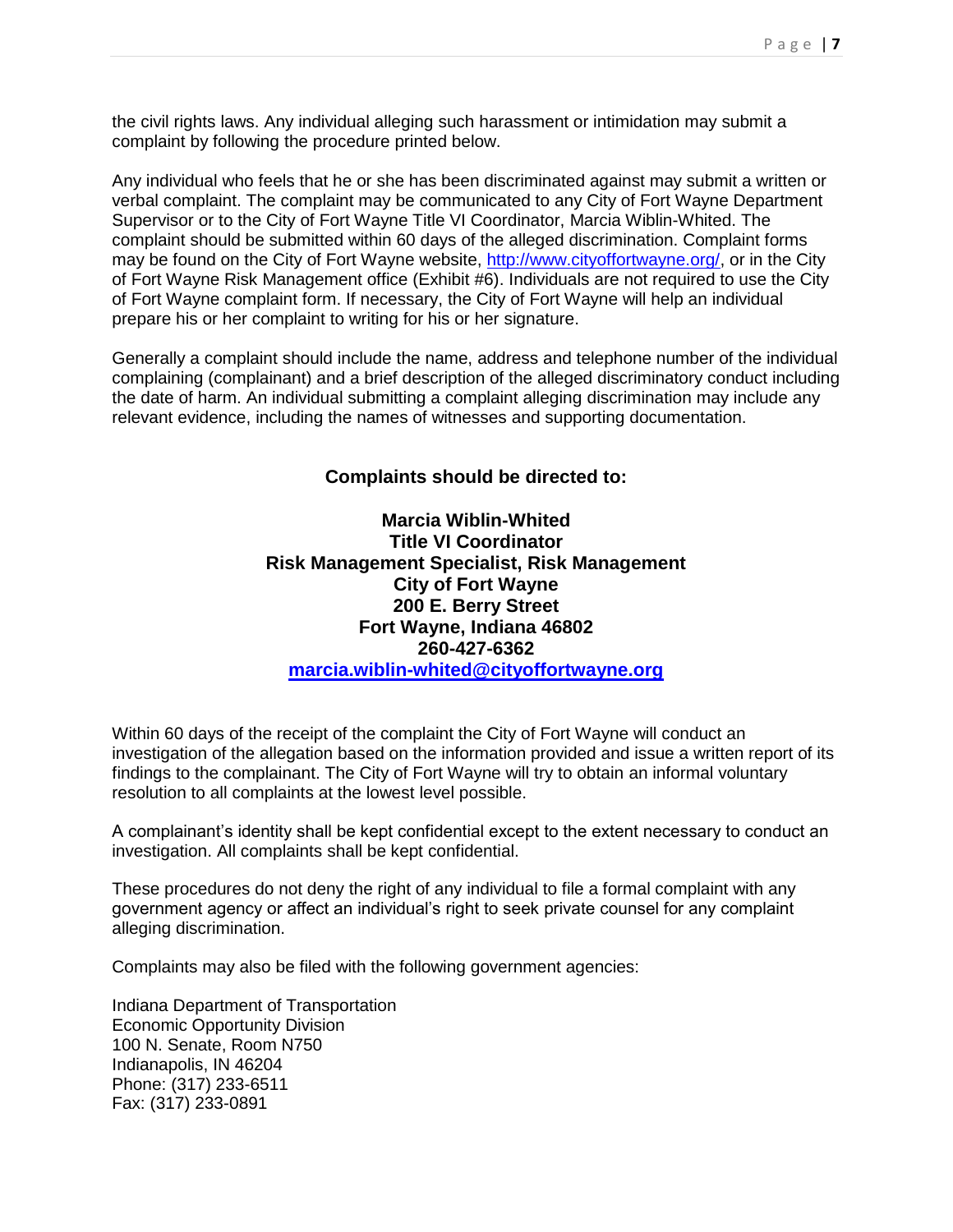the civil rights laws. Any individual alleging such harassment or intimidation may submit a complaint by following the procedure printed below.

Any individual who feels that he or she has been discriminated against may submit a written or verbal complaint. The complaint may be communicated to any City of Fort Wayne Department Supervisor or to the City of Fort Wayne Title VI Coordinator, Marcia Wiblin-Whited. The complaint should be submitted within 60 days of the alleged discrimination. Complaint forms may be found on the City of Fort Wayne website, [http://www.cityoffortwayne.org/,](http://www.cityoffortwayne.org/) or in the City of Fort Wayne Risk Management office (Exhibit #6). Individuals are not required to use the City of Fort Wayne complaint form. If necessary, the City of Fort Wayne will help an individual prepare his or her complaint to writing for his or her signature.

Generally a complaint should include the name, address and telephone number of the individual complaining (complainant) and a brief description of the alleged discriminatory conduct including the date of harm. An individual submitting a complaint alleging discrimination may include any relevant evidence, including the names of witnesses and supporting documentation.

#### **Complaints should be directed to:**

**Marcia Wiblin-Whited Title VI Coordinator Risk Management Specialist, Risk Management City of Fort Wayne 200 E. Berry Street Fort Wayne, Indiana 46802 260-427-6362 [marcia.wiblin-whited@cityoffortwayne.org](mailto:marcia.wiblin-whited@cityoffortwayne.org)**

Within 60 days of the receipt of the complaint the City of Fort Wayne will conduct an investigation of the allegation based on the information provided and issue a written report of its findings to the complainant. The City of Fort Wayne will try to obtain an informal voluntary resolution to all complaints at the lowest level possible.

A complainant's identity shall be kept confidential except to the extent necessary to conduct an investigation. All complaints shall be kept confidential.

These procedures do not deny the right of any individual to file a formal complaint with any government agency or affect an individual's right to seek private counsel for any complaint alleging discrimination.

Complaints may also be filed with the following government agencies:

Indiana Department of Transportation Economic Opportunity Division 100 N. Senate, Room N750 Indianapolis, IN 46204 Phone: (317) 233-6511 Fax: (317) 233-0891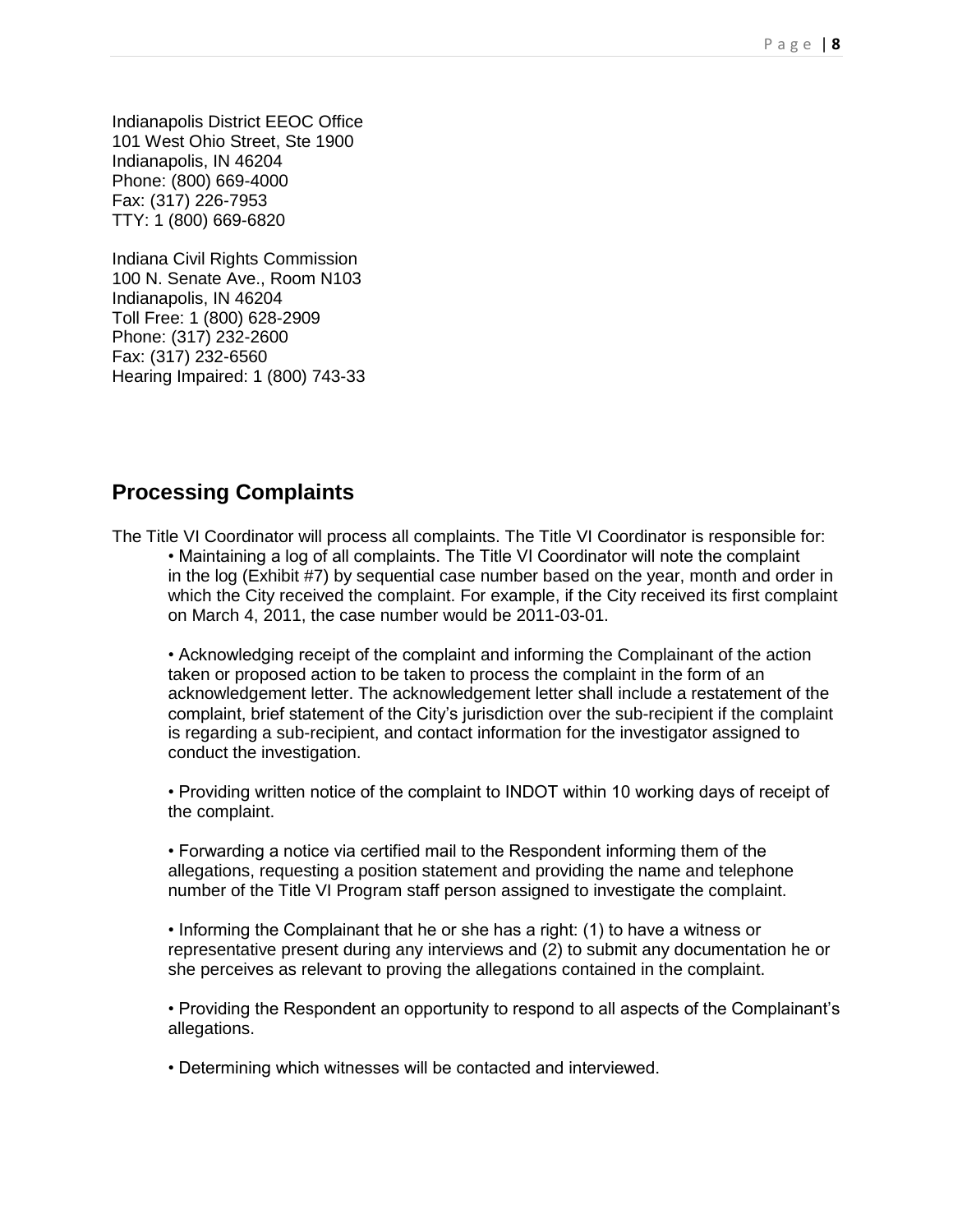Indianapolis District EEOC Office 101 West Ohio Street, Ste 1900 Indianapolis, IN 46204 Phone: (800) 669-4000 Fax: (317) 226-7953 TTY: 1 (800) 669-6820

Indiana Civil Rights Commission 100 N. Senate Ave., Room N103 Indianapolis, IN 46204 Toll Free: 1 (800) 628-2909 Phone: (317) 232-2600 Fax: (317) 232-6560 Hearing Impaired: 1 (800) 743-33

#### **Processing Complaints**

The Title VI Coordinator will process all complaints. The Title VI Coordinator is responsible for: • Maintaining a log of all complaints. The Title VI Coordinator will note the complaint in the log (Exhibit #7) by sequential case number based on the year, month and order in which the City received the complaint. For example, if the City received its first complaint on March 4, 2011, the case number would be 2011-03-01.

• Acknowledging receipt of the complaint and informing the Complainant of the action taken or proposed action to be taken to process the complaint in the form of an acknowledgement letter. The acknowledgement letter shall include a restatement of the complaint, brief statement of the City's jurisdiction over the sub-recipient if the complaint is regarding a sub-recipient, and contact information for the investigator assigned to conduct the investigation.

• Providing written notice of the complaint to INDOT within 10 working days of receipt of the complaint.

• Forwarding a notice via certified mail to the Respondent informing them of the allegations, requesting a position statement and providing the name and telephone number of the Title VI Program staff person assigned to investigate the complaint.

• Informing the Complainant that he or she has a right: (1) to have a witness or representative present during any interviews and (2) to submit any documentation he or she perceives as relevant to proving the allegations contained in the complaint.

• Providing the Respondent an opportunity to respond to all aspects of the Complainant's allegations.

• Determining which witnesses will be contacted and interviewed.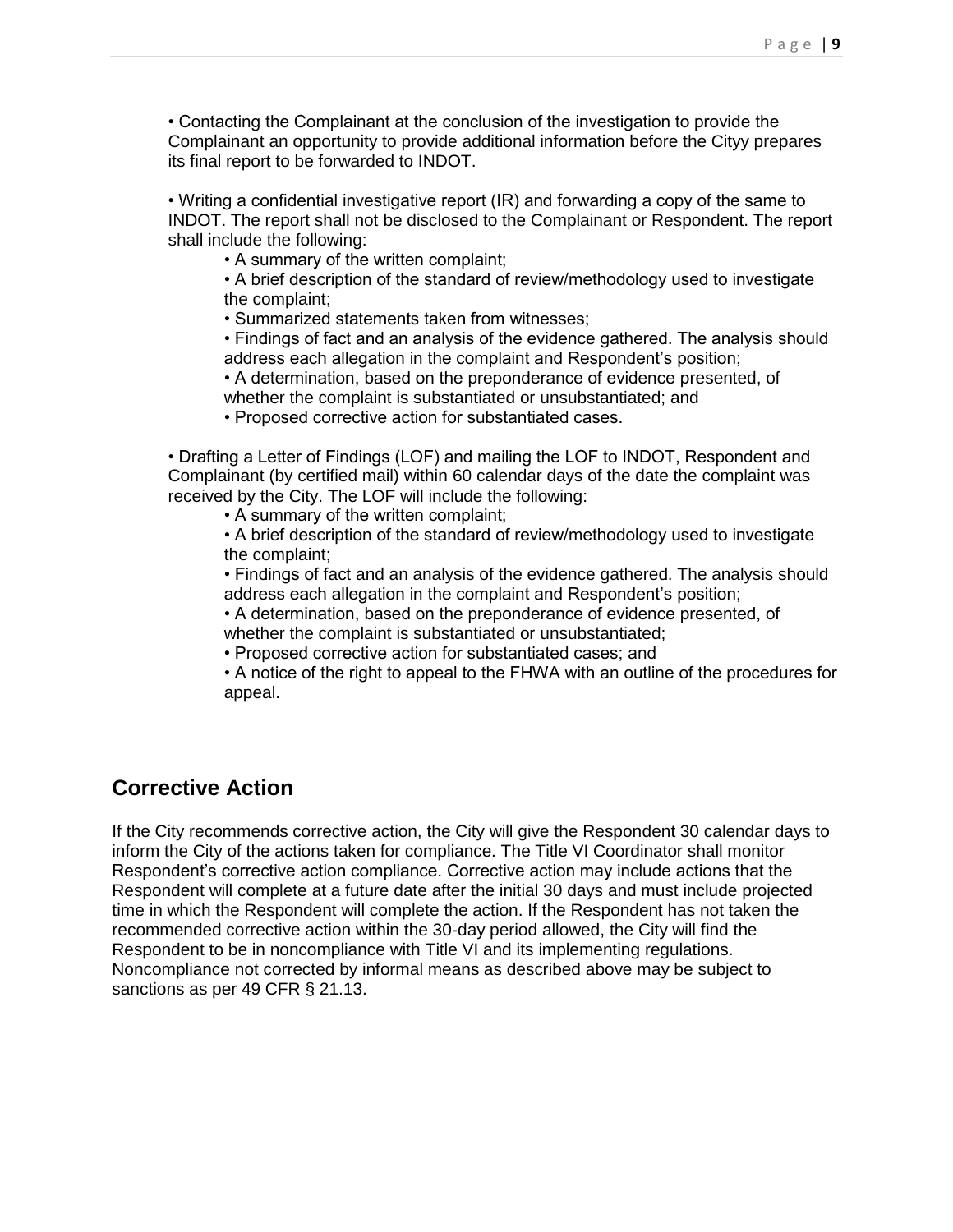• Contacting the Complainant at the conclusion of the investigation to provide the Complainant an opportunity to provide additional information before the Cityy prepares its final report to be forwarded to INDOT.

• Writing a confidential investigative report (IR) and forwarding a copy of the same to INDOT. The report shall not be disclosed to the Complainant or Respondent. The report shall include the following:

• A summary of the written complaint;

• A brief description of the standard of review/methodology used to investigate the complaint;

• Summarized statements taken from witnesses;

• Findings of fact and an analysis of the evidence gathered. The analysis should address each allegation in the complaint and Respondent's position;

• A determination, based on the preponderance of evidence presented, of whether the complaint is substantiated or unsubstantiated; and

• Proposed corrective action for substantiated cases.

• Drafting a Letter of Findings (LOF) and mailing the LOF to INDOT, Respondent and Complainant (by certified mail) within 60 calendar days of the date the complaint was received by the City. The LOF will include the following:

• A summary of the written complaint;

• A brief description of the standard of review/methodology used to investigate the complaint;

• Findings of fact and an analysis of the evidence gathered. The analysis should address each allegation in the complaint and Respondent's position;

• A determination, based on the preponderance of evidence presented, of whether the complaint is substantiated or unsubstantiated;

• Proposed corrective action for substantiated cases; and

• A notice of the right to appeal to the FHWA with an outline of the procedures for appeal.

### **Corrective Action**

If the City recommends corrective action, the City will give the Respondent 30 calendar days to inform the City of the actions taken for compliance. The Title VI Coordinator shall monitor Respondent's corrective action compliance. Corrective action may include actions that the Respondent will complete at a future date after the initial 30 days and must include projected time in which the Respondent will complete the action. If the Respondent has not taken the recommended corrective action within the 30-day period allowed, the City will find the Respondent to be in noncompliance with Title VI and its implementing regulations. Noncompliance not corrected by informal means as described above may be subject to sanctions as per 49 CFR § 21.13.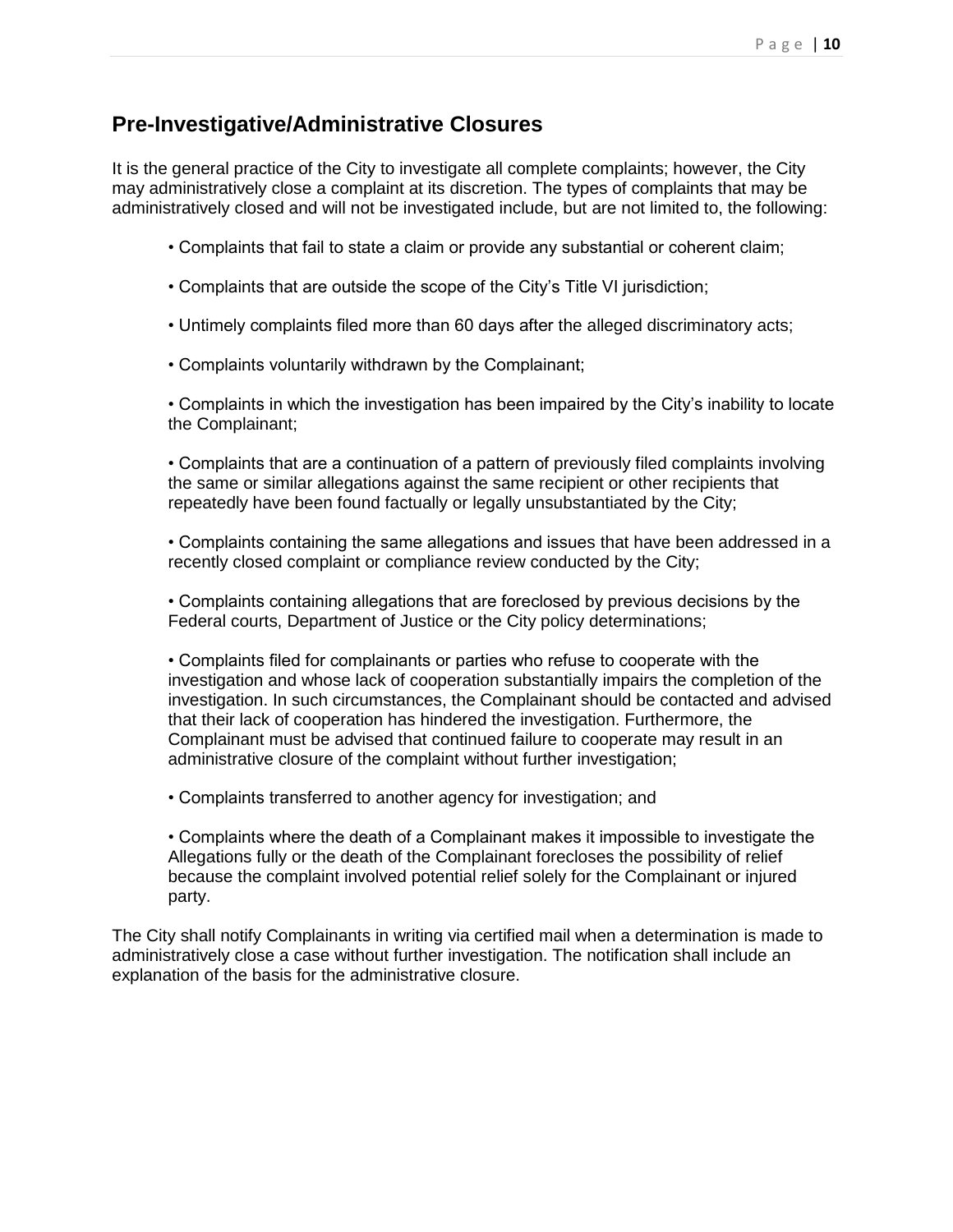#### **Pre-Investigative/Administrative Closures**

It is the general practice of the City to investigate all complete complaints; however, the City may administratively close a complaint at its discretion. The types of complaints that may be administratively closed and will not be investigated include, but are not limited to, the following:

- Complaints that fail to state a claim or provide any substantial or coherent claim;
- Complaints that are outside the scope of the City's Title VI jurisdiction;
- Untimely complaints filed more than 60 days after the alleged discriminatory acts;
- Complaints voluntarily withdrawn by the Complainant;

• Complaints in which the investigation has been impaired by the City's inability to locate the Complainant;

• Complaints that are a continuation of a pattern of previously filed complaints involving the same or similar allegations against the same recipient or other recipients that repeatedly have been found factually or legally unsubstantiated by the City;

• Complaints containing the same allegations and issues that have been addressed in a recently closed complaint or compliance review conducted by the City;

• Complaints containing allegations that are foreclosed by previous decisions by the Federal courts, Department of Justice or the City policy determinations;

• Complaints filed for complainants or parties who refuse to cooperate with the investigation and whose lack of cooperation substantially impairs the completion of the investigation. In such circumstances, the Complainant should be contacted and advised that their lack of cooperation has hindered the investigation. Furthermore, the Complainant must be advised that continued failure to cooperate may result in an administrative closure of the complaint without further investigation;

• Complaints transferred to another agency for investigation; and

• Complaints where the death of a Complainant makes it impossible to investigate the Allegations fully or the death of the Complainant forecloses the possibility of relief because the complaint involved potential relief solely for the Complainant or injured party.

The City shall notify Complainants in writing via certified mail when a determination is made to administratively close a case without further investigation. The notification shall include an explanation of the basis for the administrative closure.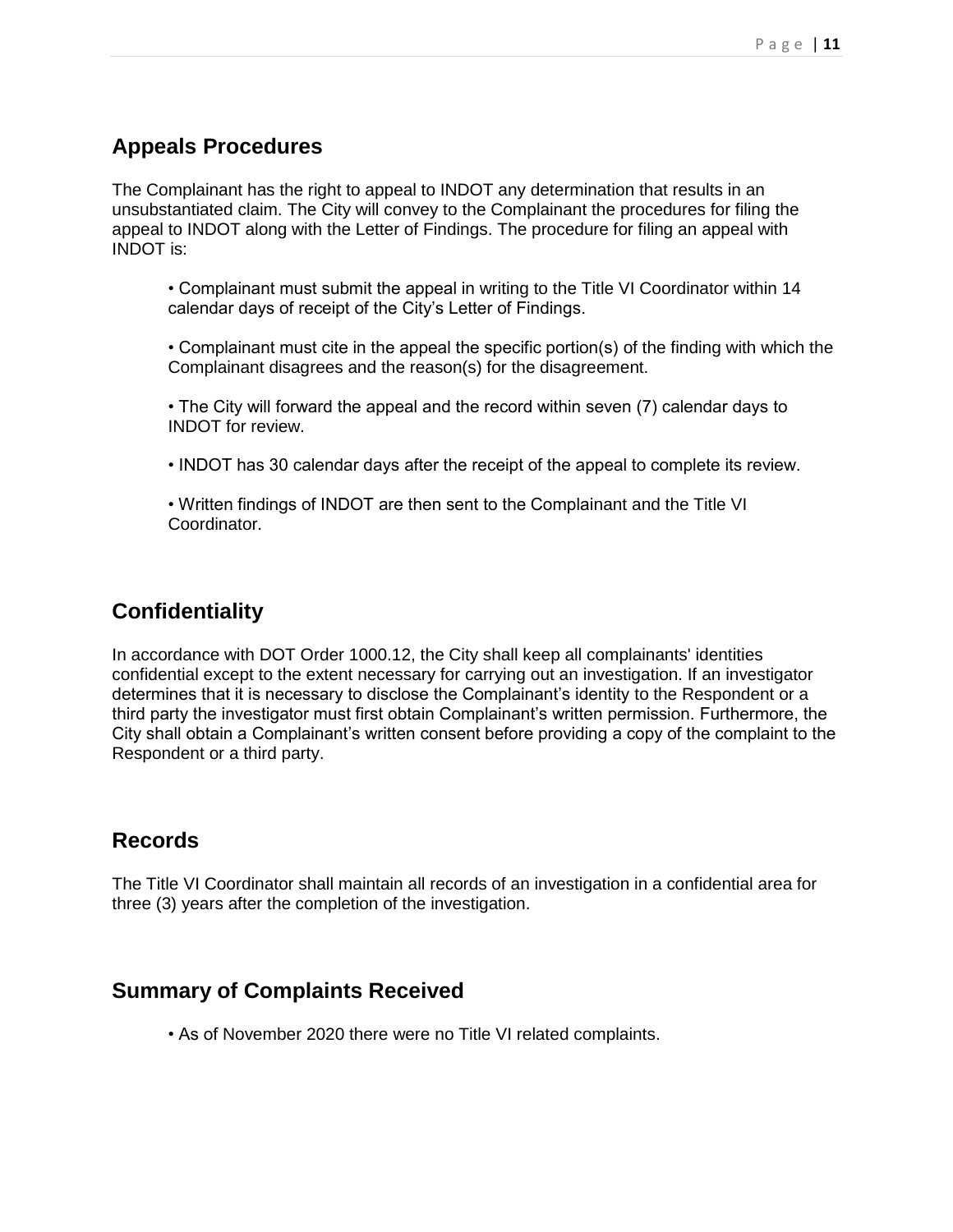## **Appeals Procedures**

The Complainant has the right to appeal to INDOT any determination that results in an unsubstantiated claim. The City will convey to the Complainant the procedures for filing the appeal to INDOT along with the Letter of Findings. The procedure for filing an appeal with INDOT is:

- Complainant must submit the appeal in writing to the Title VI Coordinator within 14 calendar days of receipt of the City's Letter of Findings.
- Complainant must cite in the appeal the specific portion(s) of the finding with which the Complainant disagrees and the reason(s) for the disagreement.
- The City will forward the appeal and the record within seven (7) calendar days to INDOT for review.
- INDOT has 30 calendar days after the receipt of the appeal to complete its review.

• Written findings of INDOT are then sent to the Complainant and the Title VI Coordinator.

#### **Confidentiality**

In accordance with DOT Order 1000.12, the City shall keep all complainants' identities confidential except to the extent necessary for carrying out an investigation. If an investigator determines that it is necessary to disclose the Complainant's identity to the Respondent or a third party the investigator must first obtain Complainant's written permission. Furthermore, the City shall obtain a Complainant's written consent before providing a copy of the complaint to the Respondent or a third party.

#### **Records**

The Title VI Coordinator shall maintain all records of an investigation in a confidential area for three (3) years after the completion of the investigation.

#### **Summary of Complaints Received**

• As of November 2020 there were no Title VI related complaints.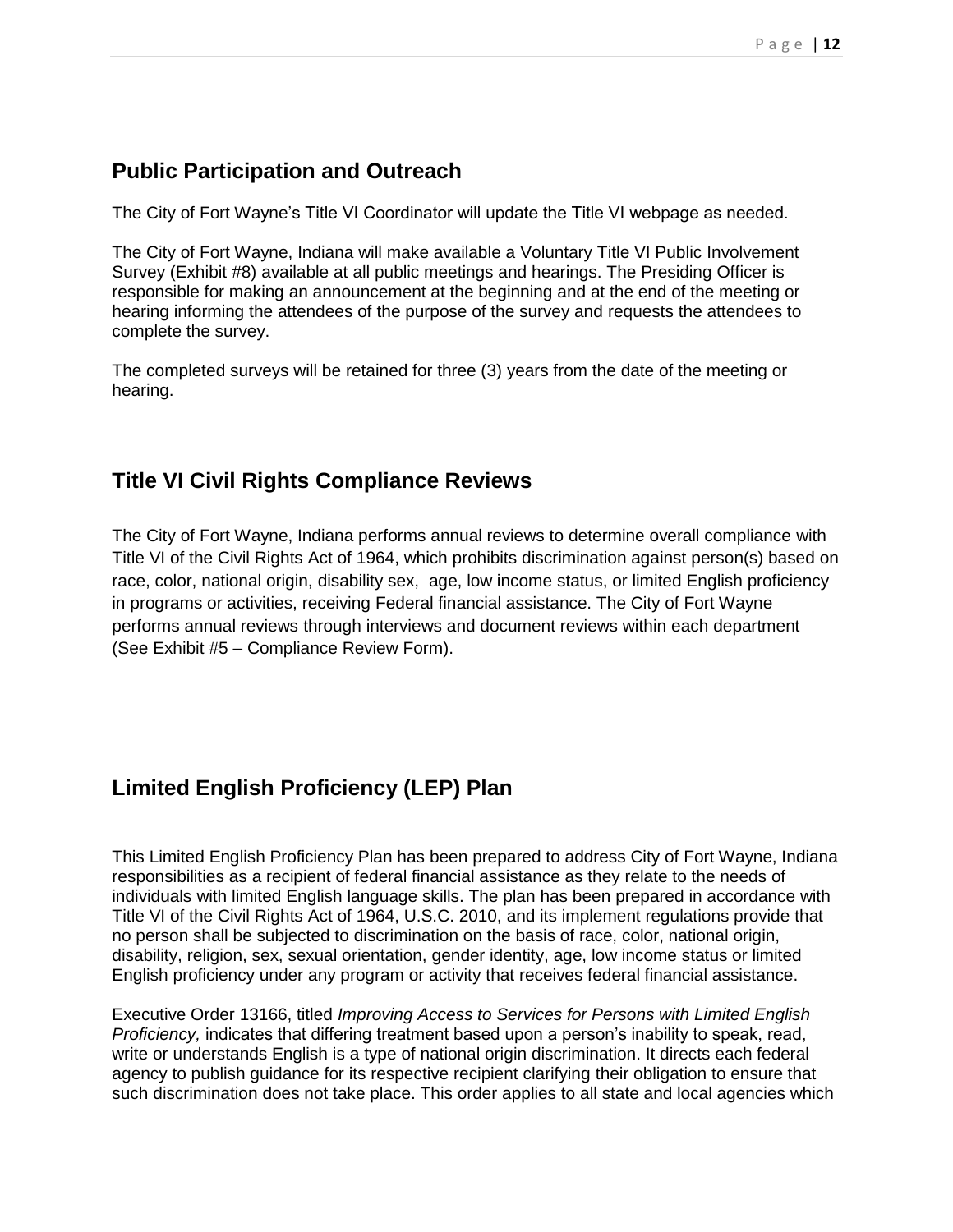## **Public Participation and Outreach**

The City of Fort Wayne's Title VI Coordinator will update the Title VI webpage as needed.

The City of Fort Wayne, Indiana will make available a Voluntary Title VI Public Involvement Survey (Exhibit #8) available at all public meetings and hearings. The Presiding Officer is responsible for making an announcement at the beginning and at the end of the meeting or hearing informing the attendees of the purpose of the survey and requests the attendees to complete the survey.

The completed surveys will be retained for three (3) years from the date of the meeting or hearing.

### **Title VI Civil Rights Compliance Reviews**

The City of Fort Wayne, Indiana performs annual reviews to determine overall compliance with Title VI of the Civil Rights Act of 1964, which prohibits discrimination against person(s) based on race, color, national origin, disability sex, age, low income status, or limited English proficiency in programs or activities, receiving Federal financial assistance. The City of Fort Wayne performs annual reviews through interviews and document reviews within each department (See Exhibit #5 – Compliance Review Form).

# **Limited English Proficiency (LEP) Plan**

This Limited English Proficiency Plan has been prepared to address City of Fort Wayne, Indiana responsibilities as a recipient of federal financial assistance as they relate to the needs of individuals with limited English language skills. The plan has been prepared in accordance with Title VI of the Civil Rights Act of 1964, U.S.C. 2010, and its implement regulations provide that no person shall be subjected to discrimination on the basis of race, color, national origin, disability, religion, sex, sexual orientation, gender identity, age, low income status or limited English proficiency under any program or activity that receives federal financial assistance.

Executive Order 13166, titled *Improving Access to Services for Persons with Limited English Proficiency,* indicates that differing treatment based upon a person's inability to speak, read, write or understands English is a type of national origin discrimination. It directs each federal agency to publish guidance for its respective recipient clarifying their obligation to ensure that such discrimination does not take place. This order applies to all state and local agencies which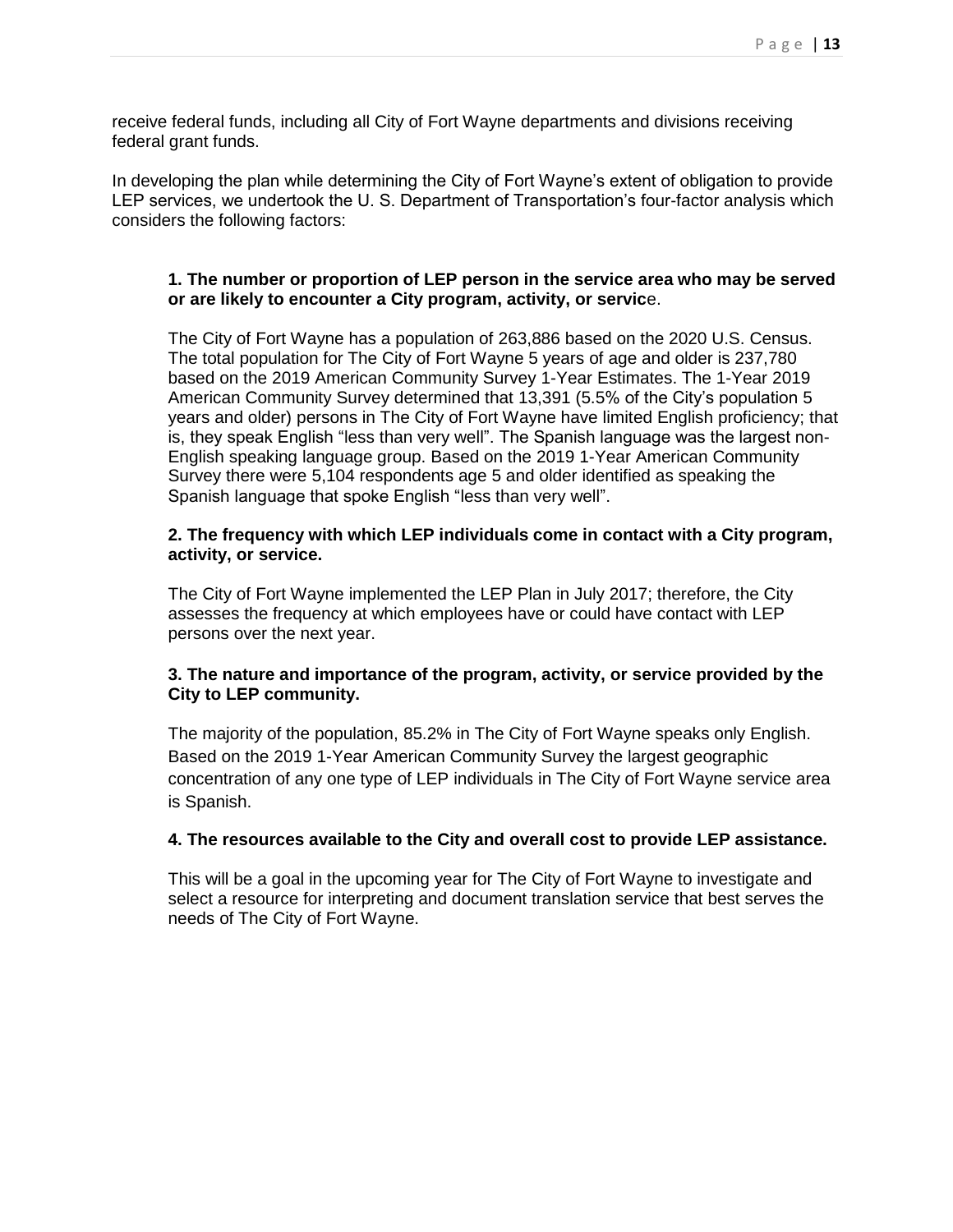receive federal funds, including all City of Fort Wayne departments and divisions receiving federal grant funds.

In developing the plan while determining the City of Fort Wayne's extent of obligation to provide LEP services, we undertook the U. S. Department of Transportation's four-factor analysis which considers the following factors:

#### **1. The number or proportion of LEP person in the service area who may be served or are likely to encounter a City program, activity, or servic**e.

The City of Fort Wayne has a population of 263,886 based on the 2020 U.S. Census. The total population for The City of Fort Wayne 5 years of age and older is 237,780 based on the 2019 American Community Survey 1-Year Estimates. The 1-Year 2019 American Community Survey determined that 13,391 (5.5% of the City's population 5 years and older) persons in The City of Fort Wayne have limited English proficiency; that is, they speak English "less than very well". The Spanish language was the largest non-English speaking language group. Based on the 2019 1-Year American Community Survey there were 5,104 respondents age 5 and older identified as speaking the Spanish language that spoke English "less than very well".

#### **2. The frequency with which LEP individuals come in contact with a City program, activity, or service.**

The City of Fort Wayne implemented the LEP Plan in July 2017; therefore, the City assesses the frequency at which employees have or could have contact with LEP persons over the next year.

#### **3. The nature and importance of the program, activity, or service provided by the City to LEP community.**

The majority of the population, 85.2% in The City of Fort Wayne speaks only English. Based on the 2019 1-Year American Community Survey the largest geographic concentration of any one type of LEP individuals in The City of Fort Wayne service area is Spanish.

#### **4. The resources available to the City and overall cost to provide LEP assistance.**

This will be a goal in the upcoming year for The City of Fort Wayne to investigate and select a resource for interpreting and document translation service that best serves the needs of The City of Fort Wayne.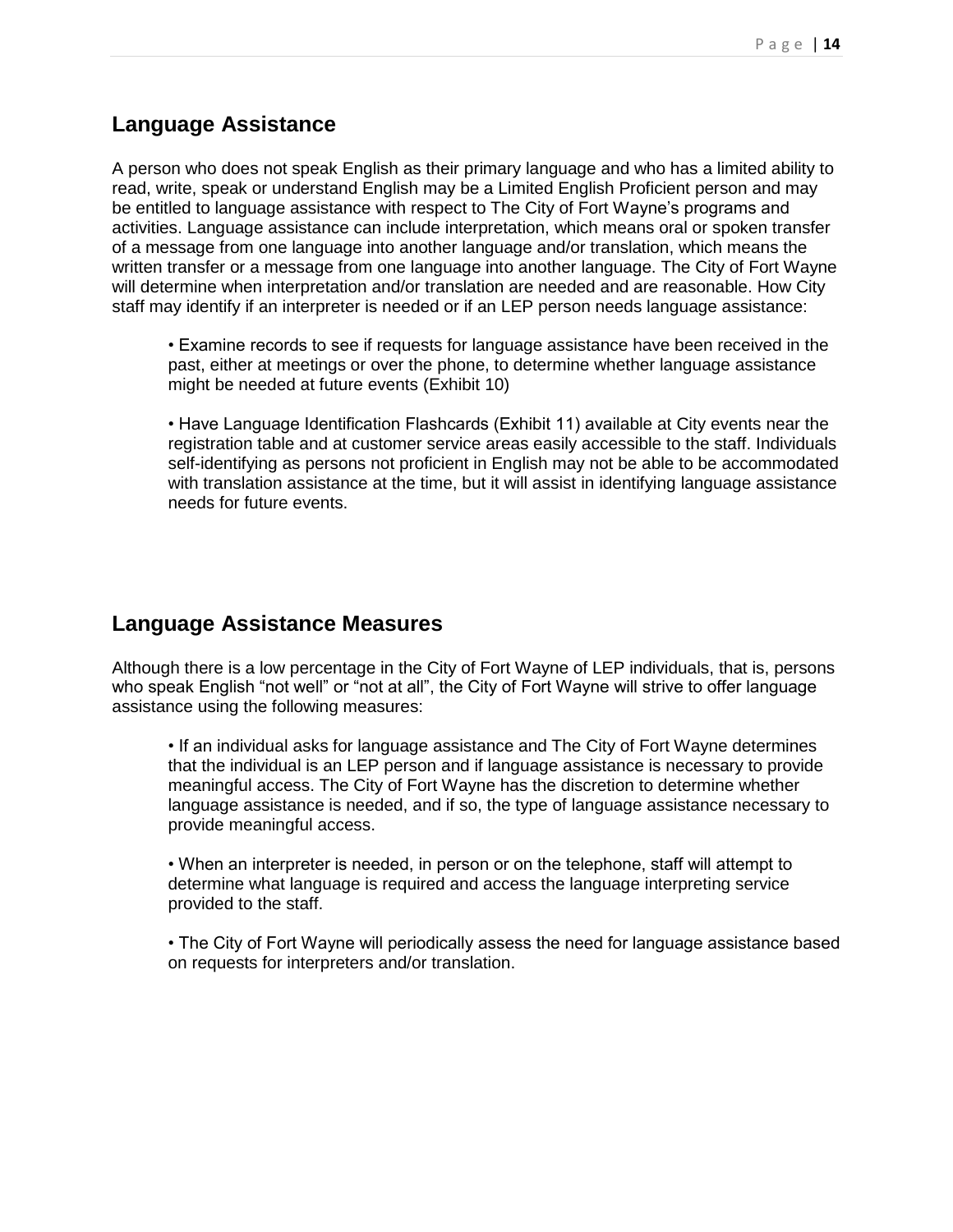#### **Language Assistance**

A person who does not speak English as their primary language and who has a limited ability to read, write, speak or understand English may be a Limited English Proficient person and may be entitled to language assistance with respect to The City of Fort Wayne's programs and activities. Language assistance can include interpretation, which means oral or spoken transfer of a message from one language into another language and/or translation, which means the written transfer or a message from one language into another language. The City of Fort Wayne will determine when interpretation and/or translation are needed and are reasonable. How City staff may identify if an interpreter is needed or if an LEP person needs language assistance:

• Examine records to see if requests for language assistance have been received in the past, either at meetings or over the phone, to determine whether language assistance might be needed at future events (Exhibit 10)

• Have Language Identification Flashcards (Exhibit 11) available at City events near the registration table and at customer service areas easily accessible to the staff. Individuals self-identifying as persons not proficient in English may not be able to be accommodated with translation assistance at the time, but it will assist in identifying language assistance needs for future events.

#### **Language Assistance Measures**

Although there is a low percentage in the City of Fort Wayne of LEP individuals, that is, persons who speak English "not well" or "not at all", the City of Fort Wayne will strive to offer language assistance using the following measures:

• If an individual asks for language assistance and The City of Fort Wayne determines that the individual is an LEP person and if language assistance is necessary to provide meaningful access. The City of Fort Wayne has the discretion to determine whether language assistance is needed, and if so, the type of language assistance necessary to provide meaningful access.

• When an interpreter is needed, in person or on the telephone, staff will attempt to determine what language is required and access the language interpreting service provided to the staff.

• The City of Fort Wayne will periodically assess the need for language assistance based on requests for interpreters and/or translation.